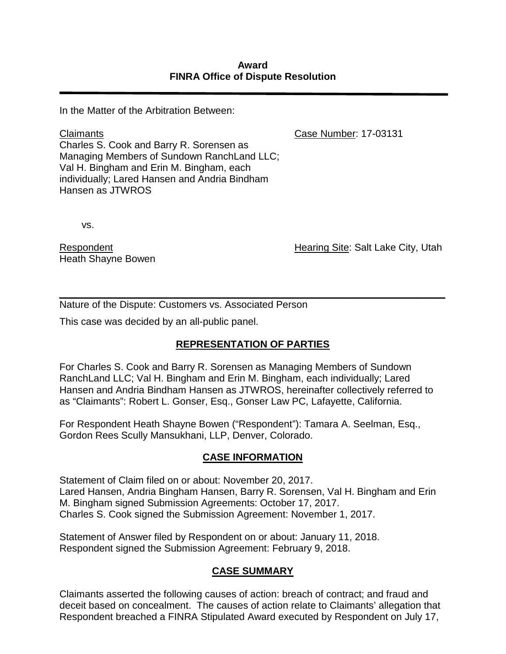In the Matter of the Arbitration Between:

Case Number: 17-03131

Claimants Charles S. Cook and Barry R. Sorensen as Managing Members of Sundown RanchLand LLC; Val H. Bingham and Erin M. Bingham, each individually; Lared Hansen and Andria Bindham Hansen as JTWROS

vs.

Respondent Heath Shayne Bowen Hearing Site: Salt Lake City, Utah

*\_\_\_\_\_\_\_\_\_\_\_\_\_\_\_\_\_\_\_\_\_\_\_\_\_\_\_\_\_\_\_\_\_\_\_\_\_\_\_\_\_\_\_\_\_\_\_\_\_\_\_\_\_\_\_\_\_\_\_\_\_\_\_\_\_\_\_\_\_\_* Nature of the Dispute: Customers vs. Associated Person

This case was decided by an all-public panel.

# **REPRESENTATION OF PARTIES**

For Charles S. Cook and Barry R. Sorensen as Managing Members of Sundown RanchLand LLC; Val H. Bingham and Erin M. Bingham, each individually; Lared Hansen and Andria Bindham Hansen as JTWROS, hereinafter collectively referred to as "Claimants": Robert L. Gonser, Esq., Gonser Law PC, Lafayette, California.

For Respondent Heath Shayne Bowen ("Respondent"): Tamara A. Seelman, Esq., Gordon Rees Scully Mansukhani, LLP, Denver, Colorado.

# **CASE INFORMATION**

Statement of Claim filed on or about: November 20, 2017. Lared Hansen, Andria Bingham Hansen, Barry R. Sorensen, Val H. Bingham and Erin M. Bingham signed Submission Agreements: October 17, 2017. Charles S. Cook signed the Submission Agreement: November 1, 2017.

Statement of Answer filed by Respondent on or about: January 11, 2018. Respondent signed the Submission Agreement: February 9, 2018.

# **CASE SUMMARY**

Claimants asserted the following causes of action: breach of contract; and fraud and deceit based on concealment. The causes of action relate to Claimants' allegation that Respondent breached a FINRA Stipulated Award executed by Respondent on July 17,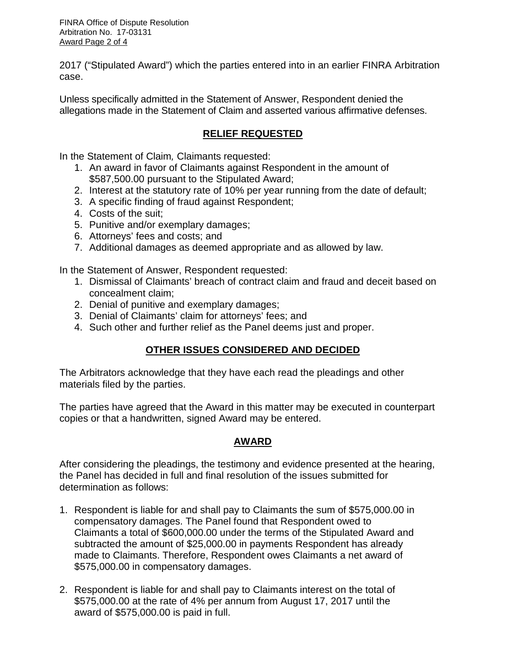FINRA Office of Dispute Resolution Arbitration No. 17-03131 Award Page 2 of 4

2017 ("Stipulated Award") which the parties entered into in an earlier FINRA Arbitration case.

Unless specifically admitted in the Statement of Answer, Respondent denied the allegations made in the Statement of Claim and asserted various affirmative defenses.

## **RELIEF REQUESTED**

In the Statement of Claim*,* Claimants requested:

- 1. An award in favor of Claimants against Respondent in the amount of \$587,500.00 pursuant to the Stipulated Award;
- 2. Interest at the statutory rate of 10% per year running from the date of default;
- 3. A specific finding of fraud against Respondent;
- 4. Costs of the suit;
- 5. Punitive and/or exemplary damages;
- 6. Attorneys' fees and costs; and
- 7. Additional damages as deemed appropriate and as allowed by law.

In the Statement of Answer, Respondent requested:

- 1. Dismissal of Claimants' breach of contract claim and fraud and deceit based on concealment claim;
- 2. Denial of punitive and exemplary damages;
- 3. Denial of Claimants' claim for attorneys' fees; and
- 4. Such other and further relief as the Panel deems just and proper.

# **OTHER ISSUES CONSIDERED AND DECIDED**

The Arbitrators acknowledge that they have each read the pleadings and other materials filed by the parties.

The parties have agreed that the Award in this matter may be executed in counterpart copies or that a handwritten, signed Award may be entered.

# **AWARD**

After considering the pleadings, the testimony and evidence presented at the hearing, the Panel has decided in full and final resolution of the issues submitted for determination as follows:

- 1. Respondent is liable for and shall pay to Claimants the sum of \$575,000.00 in compensatory damages. The Panel found that Respondent owed to Claimants a total of \$600,000.00 under the terms of the Stipulated Award and subtracted the amount of \$25,000.00 in payments Respondent has already made to Claimants. Therefore, Respondent owes Claimants a net award of \$575,000.00 in compensatory damages.
- 2. Respondent is liable for and shall pay to Claimants interest on the total of \$575,000.00 at the rate of 4% per annum from August 17, 2017 until the award of \$575,000.00 is paid in full.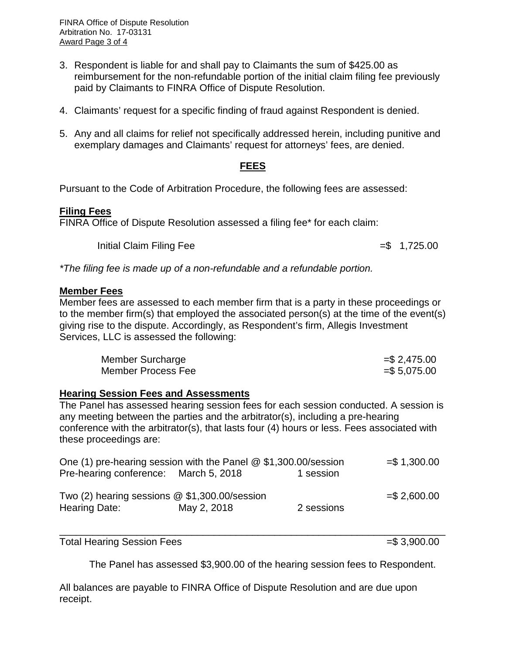FINRA Office of Dispute Resolution Arbitration No. 17-03131 Award Page 3 of 4

- 3. Respondent is liable for and shall pay to Claimants the sum of \$425.00 as reimbursement for the non-refundable portion of the initial claim filing fee previously paid by Claimants to FINRA Office of Dispute Resolution.
- 4. Claimants' request for a specific finding of fraud against Respondent is denied.
- 5. Any and all claims for relief not specifically addressed herein, including punitive and exemplary damages and Claimants' request for attorneys' fees, are denied.

#### **FEES**

Pursuant to the Code of Arbitration Procedure, the following fees are assessed:

### **Filing Fees**

FINRA Office of Dispute Resolution assessed a filing fee\* for each claim:

 $Initial Claim Filing Fee$   $= $ 1,725.00$ 

*\*The filing fee is made up of a non-refundable and a refundable portion.*

#### **Member Fees**

Member fees are assessed to each member firm that is a party in these proceedings or to the member firm(s) that employed the associated person(s) at the time of the event(s) giving rise to the dispute. Accordingly, as Respondent's firm, Allegis Investment Services, LLC is assessed the following:

| Member Surcharge   | $=$ \$2,475.00 |
|--------------------|----------------|
| Member Process Fee | $= $5,075.00$  |

#### **Hearing Session Fees and Assessments**

The Panel has assessed hearing session fees for each session conducted. A session is any meeting between the parties and the arbitrator(s), including a pre-hearing conference with the arbitrator(s), that lasts four (4) hours or less. Fees associated with these proceedings are:

| One (1) pre-hearing session with the Panel $@$ \$1,300.00/session |             |            | $= $1,300.00$ |
|-------------------------------------------------------------------|-------------|------------|---------------|
| Pre-hearing conference: March 5, 2018                             |             | 1 session  |               |
|                                                                   |             |            |               |
| Two (2) hearing sessions $@$ \$1,300.00/session                   |             |            | $= $2,600.00$ |
| <b>Hearing Date:</b>                                              | May 2, 2018 | 2 sessions |               |
|                                                                   |             |            |               |

Total Hearing Session Fees =  $\frac{1}{2}$  5 3,900.00

\_\_\_\_\_\_\_\_\_\_\_\_\_\_\_\_\_\_\_\_\_\_\_\_\_\_\_\_\_\_\_\_\_\_\_\_\_\_\_\_\_\_\_\_\_\_\_\_\_\_\_\_\_\_\_\_\_\_\_\_\_\_\_\_\_\_\_\_\_\_

The Panel has assessed \$3,900.00 of the hearing session fees to Respondent.

All balances are payable to FINRA Office of Dispute Resolution and are due upon receipt.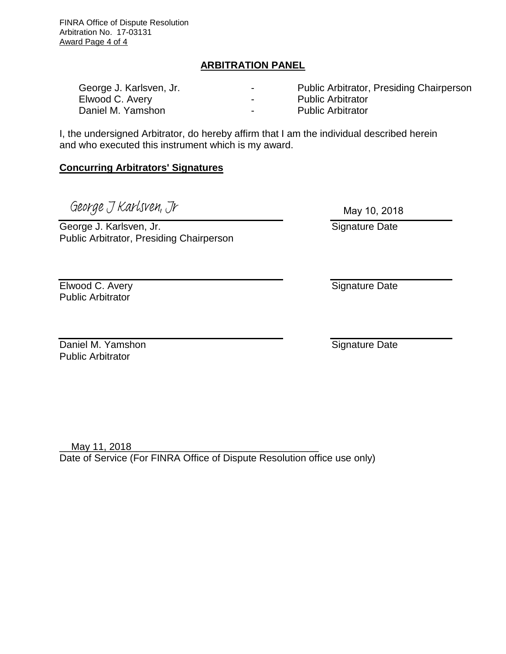FINRA Office of Dispute Resolution Arbitration No. 17-03131 Award Page 4 of 4

### **ARBITRATION PANEL**

| George J. Karlsven, Jr. | - | <b>Public Arbitrator, Presiding Chairperson</b> |
|-------------------------|---|-------------------------------------------------|
| Elwood C. Avery         |   | <b>Public Arbitrator</b>                        |
| Daniel M. Yamshon       | - | <b>Public Arbitrator</b>                        |

I, the undersigned Arbitrator, do hereby affirm that I am the individual described herein and who executed this instrument which is my award.

### **Concurring Arbitrators' Signatures**

George J Karlsven, Jr

George J. Karlsven, Jr. Public Arbitrator, Presiding Chairperson

Elwood C. Avery **Public Arbitrator** 

Daniel M. Yamshon **Public Arbitrator** 

May 11, 2018 Date of Service (For FINRA Office of Dispute Resolution office use only)

May 10, 2018

Signature Date

Signature Date

Signature Date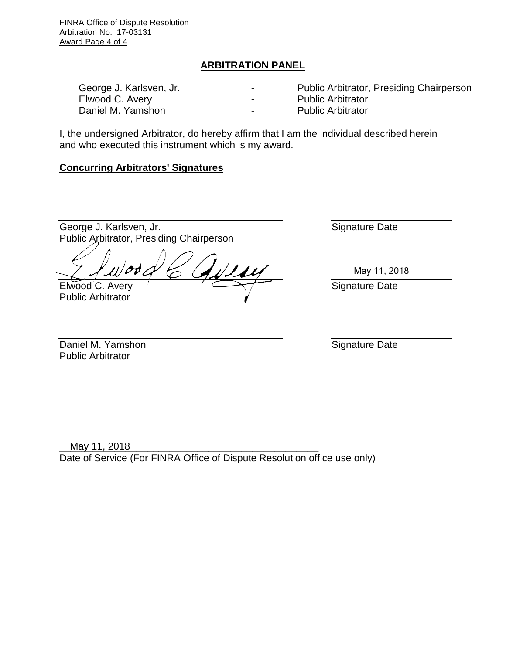FINRA Office of Dispute Resolution Arbitration No. 17-03131 Award Page 4 of 4

### **ARBITRATION PANEL**

| George J. Karlsven, Jr. | $\overline{\phantom{0}}$ | <b>Public Arbitrator, Presiding Chairperson</b> |
|-------------------------|--------------------------|-------------------------------------------------|
| Elwood C. Avery         | $\blacksquare$           | <b>Public Arbitrator</b>                        |
| Daniel M. Yamshon       | $\overline{\phantom{0}}$ | <b>Public Arbitrator</b>                        |

I, the undersigned Arbitrator, do hereby affirm that I am the individual described herein and who executed this instrument which is my award.

### **Concurring Arbitrators' Signatures**

George J. Karlsven, Jr. Public Arbitrator, Presiding Chairperson

Elwood C. Avery

Public Arbitrator

Signature Date

May 11, 2018

Signature Date

Daniel M. Yamshon Public Arbitrator

Signature Date

\_\_\_\_\_\_\_\_\_\_\_\_\_\_\_\_\_\_\_\_\_\_\_\_\_\_\_\_\_\_\_\_\_\_\_\_\_\_\_\_\_\_\_\_\_\_\_ May 11, 2018Date of Service (For FINRA Office of Dispute Resolution office use only)